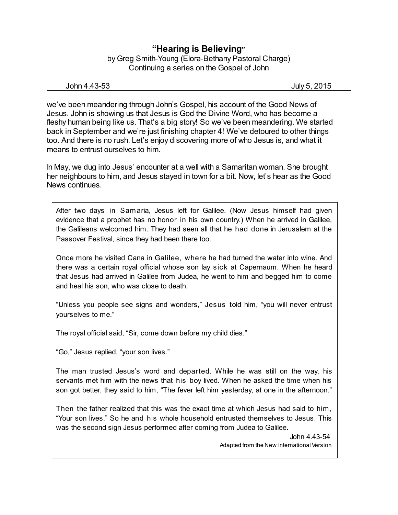## **"Hearing is Believing"** by Greg Smith-Young (Elora-Bethany Pastoral Charge) Continuing a series on the Gospel of John

John 4.43-53 July 5, 2015

we've been meandering through John's Gospel, his account of the Good News of Jesus. John is showing us that Jesus is God the Divine Word, who has become a fleshy human being like us. That's a big story! So we've been meandering. We started back in September and we're just finishing chapter 4! We've detoured to other things too. And there is no rush. Let's enjoy discovering more of who Jesus is, and what it means to entrust ourselves to him.

In May, we dug into Jesus' encounter at a well with a Samaritan woman. She brought her neighbours to him, and Jesus stayed in town for a bit. Now, let's hear as the Good News continues.

After two days in Samaria, Jesus left for Galilee. (Now Jesus himself had given evidence that a prophet has no honor in his own country.) When he arrived in Galilee, the Galileans welcomed him. They had seen all that he had done in Jerusalem at the Passover Festival, since they had been there too.

Once more he visited Cana in Galilee, where he had turned the water into wine. And there was a certain royal official whose son lay sick at Capernaum. When he heard that Jesus had arrived in Galilee from Judea, he went to him and begged him to come and heal his son, who was close to death.

"Unless you people see signs and wonders," Jesus told him, "you will never entrust yourselves to me."

The royal official said, "Sir, come down before my child dies."

"Go," Jesus replied, "your son lives."

The man trusted Jesus's word and departed. While he was still on the way, his servants met him with the news that his boy lived. When he asked the time when his son got better, they said to him, "The fever left him yesterday, at one in the afternoon."

Then the father realized that this was the exact time at which Jesus had said to him, "Your son lives." So he and his whole household entrusted themselves to Jesus. This was the second sign Jesus performed after coming from Judea to Galilee.

> John 4.43-54 Adapted from the New International Version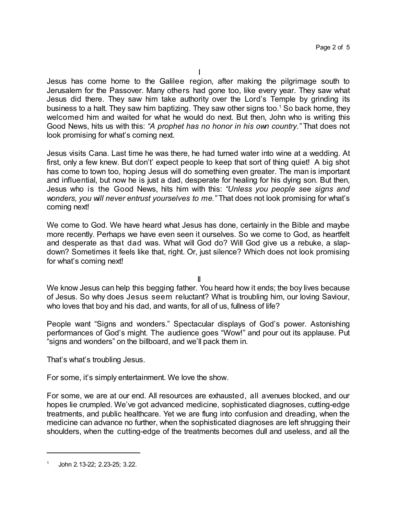Jesus has come home to the Galilee region, after making the pilgrimage south to Jerusalem for the Passover. Many others had gone too, like every year. They saw what Jesus did there. They saw him take authority over the Lord's Temple by grinding its business to a halt. They saw him baptizing. They saw other signs too.<sup>1</sup> So back home, they welcomed him and waited for what he would do next. But then, John who is writing this Good News, hits us with this: *"A prophet has no honor in his own country."* That does not look promising for what's coming next.

Jesus visits Cana. Last time he was there, he had turned water into wine at a wedding. At first, only a few knew. But don't' expect people to keep that sort of thing quiet! A big shot has come to town too, hoping Jesus will do something even greater. The man is important and influential, but now he is just a dad, desperate for healing for his dying son. But then, Jesus who is the Good News, hits him with this: *"Unless you people see signs and wonders, you will never entrust yourselves to me."* That does not look promising for what's coming next!

We come to God. We have heard what Jesus has done, certainly in the Bible and maybe more recently. Perhaps we have even seen it ourselves. So we come to God, as heartfelt and desperate as that dad was. What will God do? Will God give us a rebuke, a slapdown? Sometimes it feels like that, right. Or, just silence? Which does not look promising for what's coming next!

II

We know Jesus can help this begging father. You heard how it ends; the boy lives because of Jesus. So why does Jesus seem reluctant? What is troubling him, our loving Saviour, who loves that boy and his dad, and wants, for all of us, fullness of life?

People want "Signs and wonders." Spectacular displays of God's power. Astonishing performances of God's might. The audience goes "Wow!" and pour out its applause. Put "signs and wonders" on the billboard, and we'll pack them in.

That's what's troubling Jesus.

For some, it's simply entertainment. We love the show.

For some, we are at our end. All resources are exhausted, all avenues blocked, and our hopes lie crumpled. We've got advanced medicine, sophisticated diagnoses, cutting-edge treatments, and public healthcare. Yet we are flung into confusion and dreading, when the medicine can advance no further, when the sophisticated diagnoses are left shrugging their shoulders, when the cutting-edge of the treatments becomes dull and useless, and all the

<sup>1</sup> John 2.13-22; 2.23-25; 3.22.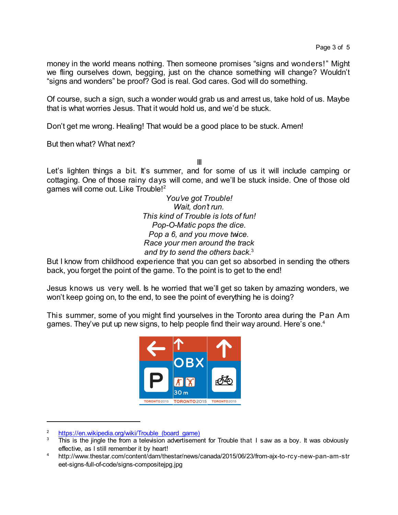money in the world means nothing. Then someone promises "signs and wonders!" Might we fling ourselves down, begging, just on the chance something will change? Wouldn't "signs and wonders" be proof? God is real. God cares. God will do something.

Of course, such a sign, such a wonder would grab us and arrest us, take hold of us. Maybe that is what worries Jesus. That it would hold us, and we'd be stuck.

Don't get me wrong. Healing! That would be a good place to be stuck. Amen!

But then what? What next?

III

Let's lighten things a bit. It's summer, and for some of us it will include camping or cottaging. One of those rainy days will come, and we'll be stuck inside. One of those old games will come out. Like Trouble!<sup>2</sup>

> *You've got Trouble! Wait, don't run. This kind of Trouble is lots of fun! Pop-O-Matic pops the dice. Pop a 6, and you move twice. Race your men around the track and try to send the others back.*<sup>3</sup>

But I know from childhood experience that you can get so absorbed in sending the others back, you forget the point of the game. To the point is to get to the end!

Jesus knows us very well. Is he worried that we'll get so taken by amazing wonders, we won't keep going on, to the end, to see the point of everything he is doing?

This summer, some of you might find yourselves in the Toronto area during the Pan Am games. They've put up new signs, to help people find their way around. Here's one.<sup>4</sup>



 $\frac{2}{3}$  https://en.wikipedia.org/wiki/Trouble (board\_game)<br> $\frac{3}{10}$  This is the jingle the from a television advertisement

This is the jingle the from a television advertisement for Trouble that I saw as a boy. It was obviously effective, as I still remember it by heart!

<sup>4</sup> http://www.thestar.com/content/dam/thestar/news/canada/2015/06/23/from-ajx-to-rcy-new-pan-am-str eet-signs-full-of-code/signs-compositejpg.jpg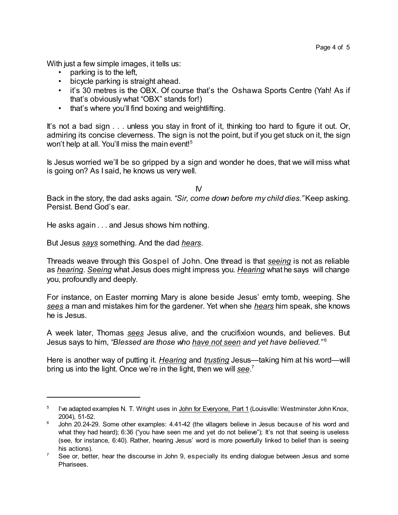With just a few simple images, it tells us:

- parking is to the left,
- bicycle parking is straight ahead.
- it's 30 metres is the OBX. Of course that's the Oshawa Sports Centre (Yah! As if that's obviously what "OBX" stands for!)
- that's where you'll find boxing and weightlifting.

It's not a bad sign . . . unless you stay in front of it, thinking too hard to figure it out. Or, admiring its concise cleverness. The sign is not the point, but if you get stuck on it, the sign won't help at all. You'll miss the main event! 5

Is Jesus worried we'll be so gripped by a sign and wonder he does, that we will miss what is going on? As I said, he knows us very well.

IV

Back in the story, the dad asks again. *"Sir, come down before my child dies."*Keep asking. Persist. Bend God's ear.

He asks again . . . and Jesus shows him nothing.

But Jesus *says* something. And the dad *hears*.

Threads weave through this Gospel of John. One thread is that *seeing* is not as reliable as *hearing*. *Seeing* what Jesus does might impress you. *Hearing* what he says will change you, profoundly and deeply.

For instance, on Easter morning Mary is alone beside Jesus' emty tomb, weeping. She *sees* a man and mistakes him for the gardener. Yet when she *hears* him speak, she knows he is Jesus.

A week later, Thomas *sees* Jesus alive, and the crucifixion wounds, and believes. But Jesus says to him, *"Blessed are those who have not seen and yet have believed."* 6

Here is another way of putting it. *Hearing* and *trusting* Jesus—taking him at his word—will bring us into the light. Once we're in the light, then we will *see*. 7

 $^5$  l've adapted examples N. T. Wright uses in <u>John for Everyone, Part 1</u> (Louisville: Westminster John Knox, 2004), 51-52.

<sup>&</sup>lt;sup>6</sup> John 20.24-29. Some other examples: 4.41-42 (the villagers believe in Jesus because of his word and what they had heard); 6:36 ("you have seen me and yet do not believe"); It's not that seeing is useless (see, for instance, 6:40). Rather, hearing Jesus' word is more powerfully linked to belief than is seeing his actions).

 $7$  See or, better, hear the discourse in John 9, especially its ending dialogue between Jesus and some Pharisees.